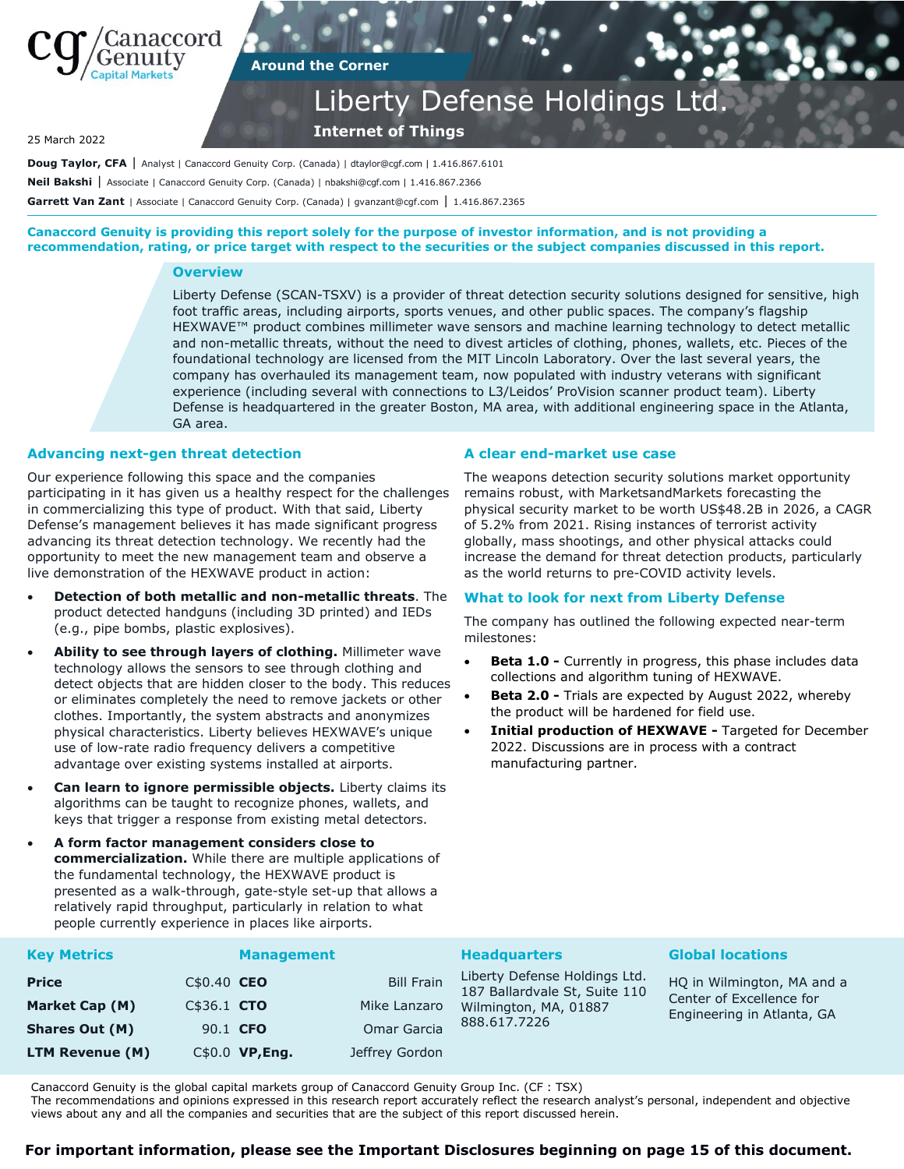

## **Around the Corner**

## Liberty Defense Holdings Ltd.

**Internet of Things**

25 March 2022

Doug Taylor, CFA | Analyst | Canaccord Genuity Corp. (Canada) | dtaylor@cgf.com | 1.416.867.6101 **Neil Bakshi** | Associate | Canaccord Genuity Corp. (Canada) | nbakshi@cgf.com | 1.416.867.2366 **Garrett Van Zant** | Associate | Canaccord Genuity Corp. (Canada) | gvanzant@cgf.com | 1.416.867.2365

**Canaccord Genuity is providing this report solely for the purpose of investor information, and is not providing a recommendation, rating, or price target with respect to the securities or the subject companies discussed in this report.**

### **Overview**

Liberty Defense (SCAN-TSXV) is a provider of threat detection security solutions designed for sensitive, high foot traffic areas, including airports, sports venues, and other public spaces. The company's flagship HEXWAVE™ product combines millimeter wave sensors and machine learning technology to detect metallic and non-metallic threats, without the need to divest articles of clothing, phones, wallets, etc. Pieces of the foundational technology are licensed from the MIT Lincoln Laboratory. Over the last several years, the company has overhauled its management team, now populated with industry veterans with significant experience (including several with connections to L3/Leidos' ProVision scanner product team). Liberty Defense is headquartered in the greater Boston, MA area, with additional engineering space in the Atlanta, GA area.

## **Advancing next-gen threat detection**

Our experience following this space and the companies participating in it has given us a healthy respect for the challenges in commercializing this type of product. With that said, Liberty Defense's management believes it has made significant progress advancing its threat detection technology. We recently had the opportunity to meet the new management team and observe a live demonstration of the HEXWAVE product in action:

- **Detection of both metallic and non-metallic threats**. The product detected handguns (including 3D printed) and IEDs (e.g., pipe bombs, plastic explosives).
- **Ability to see through layers of clothing.** Millimeter wave technology allows the sensors to see through clothing and detect objects that are hidden closer to the body. This reduces or eliminates completely the need to remove jackets or other clothes. Importantly, the system abstracts and anonymizes physical characteristics. Liberty believes HEXWAVE's unique use of low-rate radio frequency delivers a competitive advantage over existing systems installed at airports.
- **Can learn to ignore permissible objects.** Liberty claims its algorithms can be taught to recognize phones, wallets, and keys that trigger a response from existing metal detectors.
- **A form factor management considers close to commercialization.** While there are multiple applications of the fundamental technology, the HEXWAVE product is presented as a walk-through, gate-style set-up that allows a relatively rapid throughput, particularly in relation to what people currently experience in places like airports.

## **A clear end-market use case**

The weapons detection security solutions market opportunity remains robust, with MarketsandMarkets forecasting the physical security market to be worth US\$48.2B in 2026, a CAGR of 5.2% from 2021. Rising instances of terrorist activity globally, mass shootings, and other physical attacks could increase the demand for threat detection products, particularly as the world returns to pre-COVID activity levels.

## **What to look for next from Liberty Defense**

The company has outlined the following expected near-term milestones:

- **Beta 1.0 -** Currently in progress, this phase includes data collections and algorithm tuning of HEXWAVE.
- **Beta 2.0 -** Trials are expected by August 2022, whereby the product will be hardened for field use.
- **Initial production of HEXWAVE -** Targeted for December 2022. Discussions are in process with a contract manufacturing partner.

| <b>Key Metrics</b>    |              | <b>Management</b> |                   | <b>Headquarters</b>                                            | <b>Global locations</b>                                                              |
|-----------------------|--------------|-------------------|-------------------|----------------------------------------------------------------|--------------------------------------------------------------------------------------|
| <b>Price</b>          | $C$0.40$ CEO |                   | <b>Bill Frain</b> | Liberty Defense Holdings Ltd.<br>187 Ballardvale St, Suite 110 | HQ in Wilmington, MA and a<br>Center of Excellence for<br>Engineering in Atlanta, GA |
| Market Cap (M)        | C\$36.1 CTO  |                   | Mike Lanzaro      | Wilmington, MA, 01887                                          |                                                                                      |
| <b>Shares Out (M)</b> |              | 90.1 CFO          | Omar Garcia       | 888.617.7226                                                   |                                                                                      |
| LTM Revenue (M)       |              | C\$0.0 VP, Eng.   | Jeffrey Gordon    |                                                                |                                                                                      |

Canaccord Genuity is the global capital markets group of Canaccord Genuity Group Inc. (CF : TSX)

The recommendations and opinions expressed in this research report accurately reflect the research analyst's personal, independent and objective views about any and all the companies and securities that are the subject of this report discussed herein.

## **For important information, please see the Important Disclosures beginning on page 15 of this document.**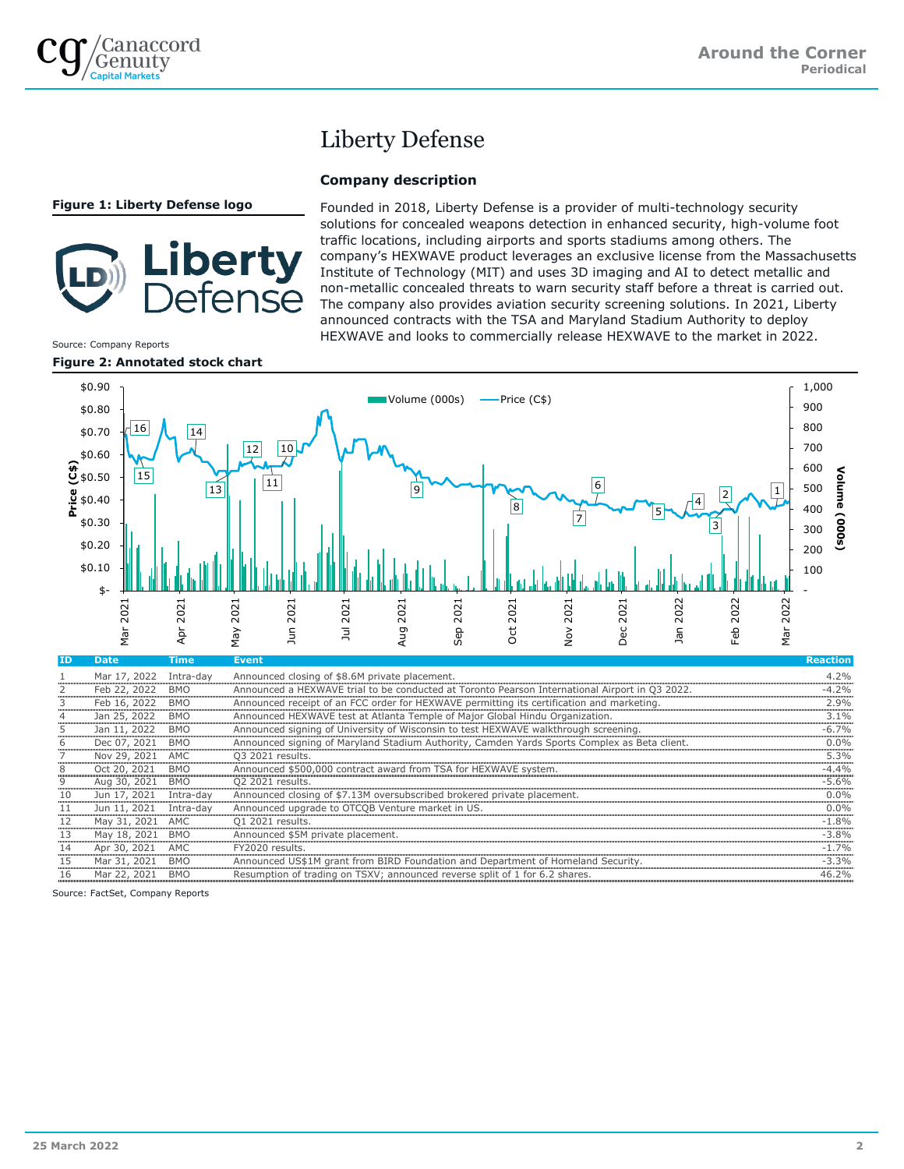Source: Company Reports

## Liberty Defense

## **Company description**

**Figure 1: Liberty Defense logo**

# iberty ense

Founded in 2018, Liberty Defense is a provider of multi-technology security solutions for concealed weapons detection in enhanced security, high-volume foot traffic locations, including airports and sports stadiums among others. The company's HEXWAVE product leverages an exclusive license from the Massachusetts Institute of Technology (MIT) and uses 3D imaging and AI to detect metallic and non-metallic concealed threats to warn security staff before a threat is carried out. The company also provides aviation security screening solutions. In 2021, Liberty announced contracts with the TSA and Maryland Stadium Authority to deploy HEXWAVE and looks to commercially release HEXWAVE to the market in 2022.



| <b>ID</b> | <b>Date</b>  | Time       | <b>Event</b>                                                                                   | <b>Reaction</b> |
|-----------|--------------|------------|------------------------------------------------------------------------------------------------|-----------------|
|           | Mar 17, 2022 | Intra-dav  | Announced closing of \$8.6M private placement.                                                 | 4.2%            |
|           | Feb 22, 2022 | <b>BMO</b> | Announced a HEXWAVE trial to be conducted at Toronto Pearson International Airport in Q3 2022. | $-4.2%$         |
| 3         | Feb 16, 2022 | <b>BMO</b> | Announced receipt of an FCC order for HEXWAVE permitting its certification and marketing.      | 2.9%            |
| 4         | Jan 25, 2022 | <b>BMO</b> | Announced HEXWAVE test at Atlanta Temple of Major Global Hindu Organization.                   | $3.1\%$         |
| 5         | Jan 11, 2022 | <b>BMO</b> | Announced signing of University of Wisconsin to test HEXWAVE walkthrough screening.            | $-6.7\%$        |
| 6         | Dec 07, 2021 | <b>BMO</b> | Announced signing of Maryland Stadium Authority, Camden Yards Sports Complex as Beta client.   | $0.0\%$         |
|           | Nov 29, 2021 | AMC        | Q3 2021 results.                                                                               | 5.3%            |
| 8         | Oct 20, 2021 | <b>BMO</b> | Announced \$500,000 contract award from TSA for HEXWAVE system.                                | $-4.4%$         |
| 9         | Aug 30, 2021 | <b>BMO</b> | 02 2021 results.                                                                               | $-5.6%$         |
| 10        | Jun 17, 2021 | Intra-day  | Announced closing of \$7.13M oversubscribed brokered private placement.                        | $0.0\%$         |
| 11        | Jun 11, 2021 | Intra-day  | Announced upgrade to OTCQB Venture market in US.                                               | $0.0\%$         |
| 12        | May 31, 2021 | AMC        | Q1 2021 results.                                                                               | $-1.8%$         |
| 13        | May 18, 2021 | <b>BMO</b> | Announced \$5M private placement.                                                              | $-3.8\%$        |
| 14        | Apr 30, 2021 | <b>AMC</b> | FY2020 results.                                                                                | $-1.7%$         |
| 15        | Mar 31, 2021 | BMO        | Announced US\$1M grant from BIRD Foundation and Department of Homeland Security.               | $-3.3%$         |
| 16        | Mar 22, 2021 | <b>BMO</b> | Resumption of trading on TSXV; announced reverse split of 1 for 6.2 shares.                    | 46.2%           |

Source: FactSet, Company Reports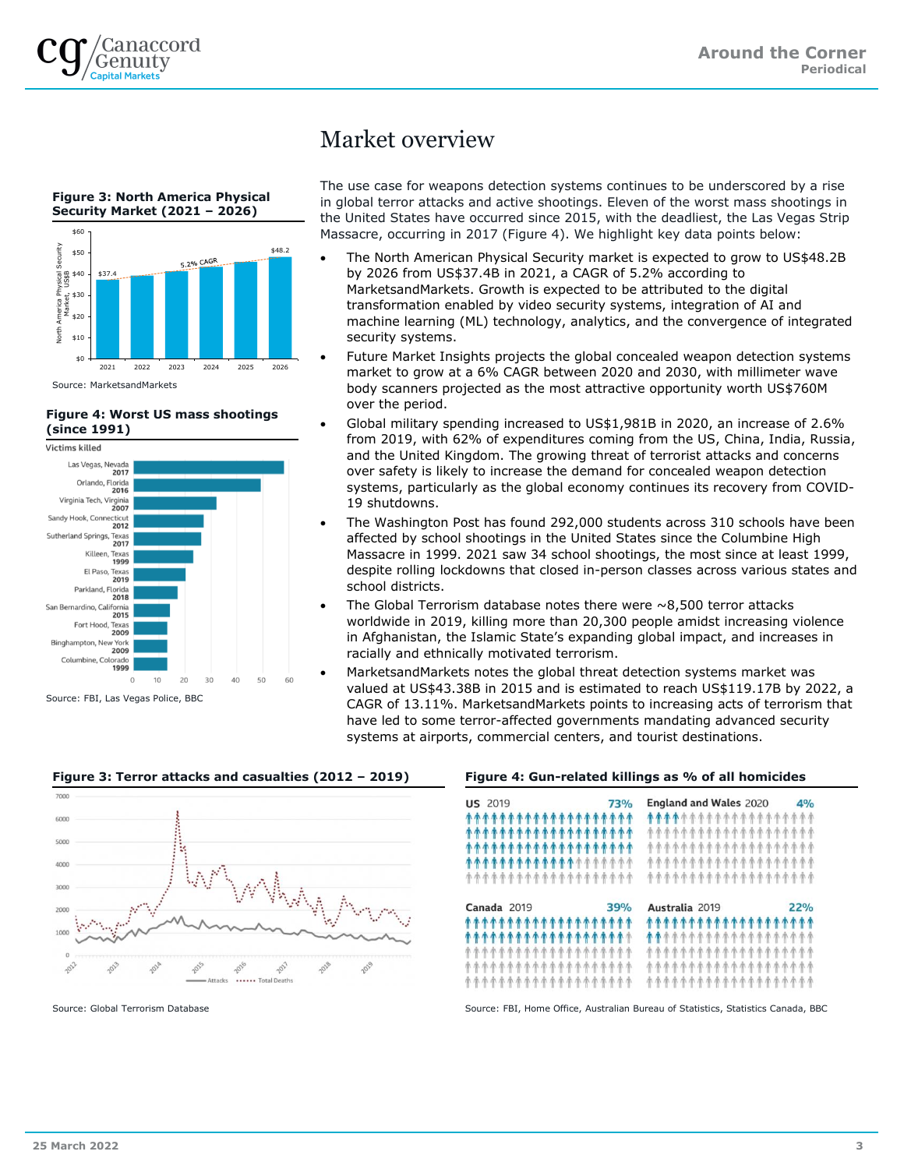



## **Figure 4: Worst US mass shootings (since 1991)**



Source: FBI, Las Vegas Police, BBC

## Market overview

The use case for weapons detection systems continues to be underscored by a rise in global terror attacks and active shootings. Eleven of the worst mass shootings in the United States have occurred since 2015, with the deadliest, the Las Vegas Strip Massacre, occurring in 2017 (Figure 4). We highlight key data points below:

- The North American Physical Security market is expected to grow to US\$48.2B by 2026 from US\$37.4B in 2021, a CAGR of 5.2% according to MarketsandMarkets. Growth is expected to be attributed to the digital transformation enabled by video security systems, integration of AI and machine learning (ML) technology, analytics, and the convergence of integrated security systems.
- Future Market Insights projects the global concealed weapon detection systems market to grow at a 6% CAGR between 2020 and 2030, with millimeter wave body scanners projected as the most attractive opportunity worth US\$760M over the period.
- Global military spending increased to US\$1,981B in 2020, an increase of 2.6% from 2019, with 62% of expenditures coming from the US, China, India, Russia, and the United Kingdom. The growing threat of terrorist attacks and concerns over safety is likely to increase the demand for concealed weapon detection systems, particularly as the global economy continues its recovery from COVID-19 shutdowns.
- The Washington Post has found 292,000 students across 310 schools have been affected by school shootings in the United States since the Columbine High Massacre in 1999. 2021 saw 34 school shootings, the most since at least 1999, despite rolling lockdowns that closed in-person classes across various states and school districts.
- The Global Terrorism database notes there were  $\sim$ 8,500 terror attacks worldwide in 2019, killing more than 20,300 people amidst increasing violence in Afghanistan, the Islamic State's expanding global impact, and increases in racially and ethnically motivated terrorism.
- MarketsandMarkets notes the global threat detection systems market was valued at US\$43.38B in 2015 and is estimated to reach US\$119.17B by 2022, a CAGR of 13.11%. MarketsandMarkets points to increasing acts of terrorism that have led to some terror-affected governments mandating advanced security systems at airports, commercial centers, and tourist destinations.



## **Figure 3: Terror attacks and casualties (2012 – 2019) Figure 4: Gun-related killings as % of all homicides**

| <b>US 2019</b><br><b>73%</b><br>*******************<br>*******************<br>*******************<br><b>************</b> *******<br>******************* | England and Wales $2020$ 4%<br><b>****</b> ***************<br>*******************<br>*******************<br>*******************<br>******************* |
|---------------------------------------------------------------------------------------------------------------------------------------------------------|--------------------------------------------------------------------------------------------------------------------------------------------------------|
| 39%                                                                                                                                                     | Australia 2019                                                                                                                                         |
| Canada 2019                                                                                                                                             | 22%                                                                                                                                                    |
| *******************                                                                                                                                     | *******************                                                                                                                                    |
| <b>******************</b> *                                                                                                                             | <b>**</b> *****************                                                                                                                            |
| *******************                                                                                                                                     | *******************                                                                                                                                    |
| <b>香香香香香香香香香香香香香香香香香香香</b>                                                                                                                              | *******************                                                                                                                                    |
| *******************                                                                                                                                     | *******************                                                                                                                                    |

Source: Global Terrorism Database Source: FBI, Home Office, Australian Bureau of Statistics, Statistics Canada, BBC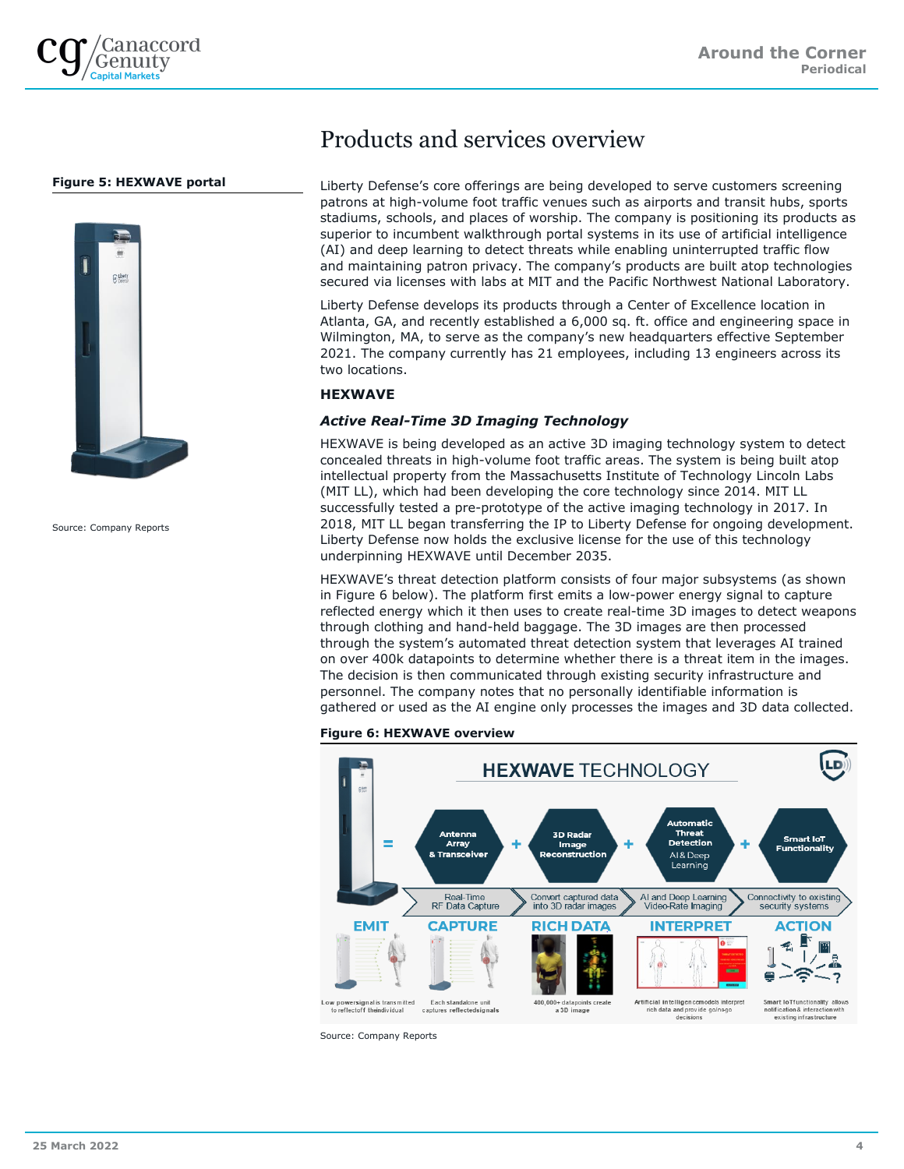

## **Figure 5: HEXWAVE portal**



Source: Company Reports

## Products and services overview

Liberty Defense's core offerings are being developed to serve customers screening patrons at high-volume foot traffic venues such as airports and transit hubs, sports stadiums, schools, and places of worship. The company is positioning its products as superior to incumbent walkthrough portal systems in its use of artificial intelligence (AI) and deep learning to detect threats while enabling uninterrupted traffic flow and maintaining patron privacy. The company's products are built atop technologies secured via licenses with labs at MIT and the Pacific Northwest National Laboratory.

Liberty Defense develops its products through a Center of Excellence location in Atlanta, GA, and recently established a 6,000 sq. ft. office and engineering space in Wilmington, MA, to serve as the company's new headquarters effective September 2021. The company currently has 21 employees, including 13 engineers across its two locations.

## **HEXWAVE**

## *Active Real-Time 3D Imaging Technology*

HEXWAVE is being developed as an active 3D imaging technology system to detect concealed threats in high-volume foot traffic areas. The system is being built atop intellectual property from the Massachusetts Institute of Technology Lincoln Labs (MIT LL), which had been developing the core technology since 2014. MIT LL successfully tested a pre-prototype of the active imaging technology in 2017. In 2018, MIT LL began transferring the IP to Liberty Defense for ongoing development. Liberty Defense now holds the exclusive license for the use of this technology underpinning HEXWAVE until December 2035.

HEXWAVE's threat detection platform consists of four major subsystems (as shown in Figure 6 below). The platform first emits a low-power energy signal to capture reflected energy which it then uses to create real-time 3D images to detect weapons through clothing and hand-held baggage. The 3D images are then processed through the system's automated threat detection system that leverages AI trained on over 400k datapoints to determine whether there is a threat item in the images. The decision is then communicated through existing security infrastructure and personnel. The company notes that no personally identifiable information is gathered or used as the AI engine only processes the images and 3D data collected.

### **Figure 6: HEXWAVE overview**

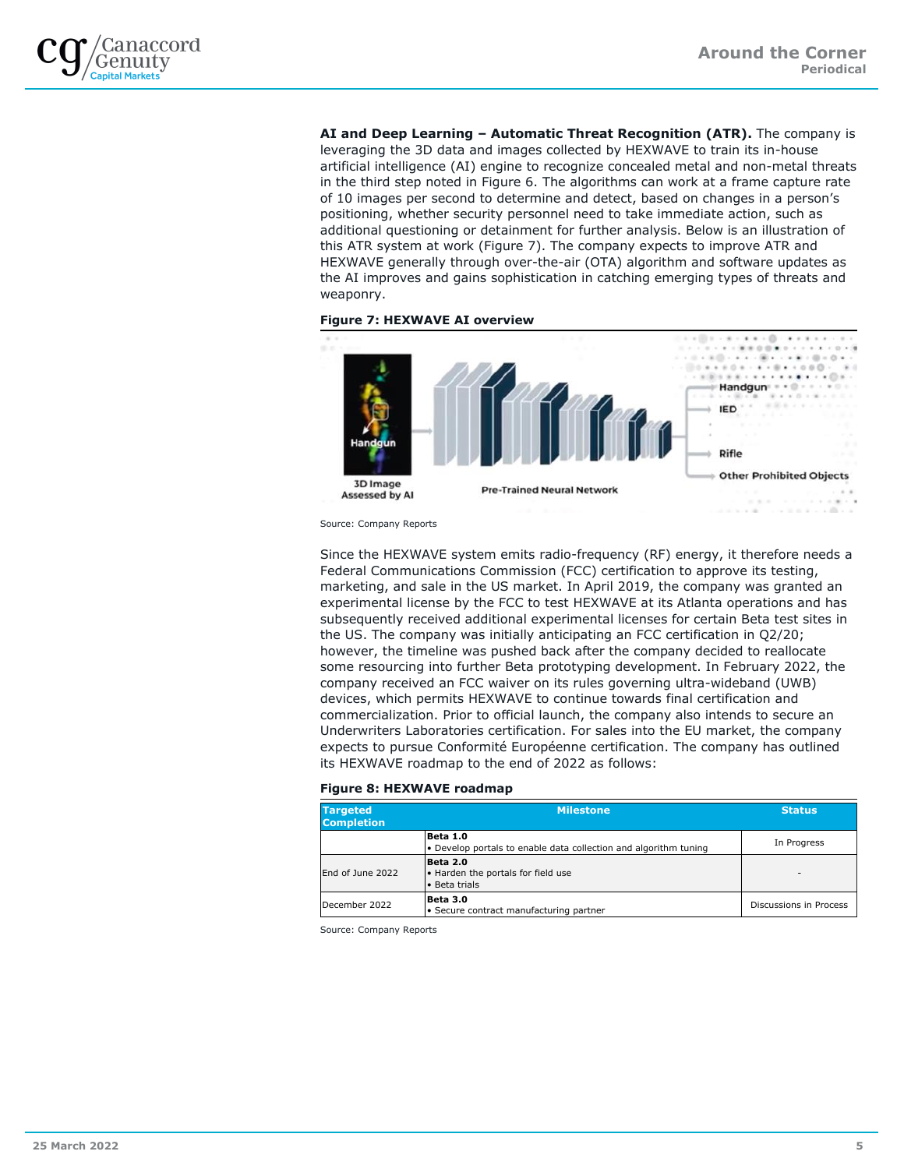

**AI and Deep Learning – Automatic Threat Recognition (ATR).** The company is leveraging the 3D data and images collected by HEXWAVE to train its in-house artificial intelligence (AI) engine to recognize concealed metal and non-metal threats in the third step noted in Figure 6. The algorithms can work at a frame capture rate of 10 images per second to determine and detect, based on changes in a person's positioning, whether security personnel need to take immediate action, such as additional questioning or detainment for further analysis. Below is an illustration of this ATR system at work (Figure 7). The company expects to improve ATR and HEXWAVE generally through over-the-air (OTA) algorithm and software updates as the AI improves and gains sophistication in catching emerging types of threats and weaponry.





Source: Company Reports

Since the HEXWAVE system emits radio-frequency (RF) energy, it therefore needs a Federal Communications Commission (FCC) certification to approve its testing, marketing, and sale in the US market. In April 2019, the company was granted an experimental license by the FCC to test HEXWAVE at its Atlanta operations and has subsequently received additional experimental licenses for certain Beta test sites in the US. The company was initially anticipating an FCC certification in Q2/20; however, the timeline was pushed back after the company decided to reallocate some resourcing into further Beta prototyping development. In February 2022, the company received an FCC waiver on its rules governing ultra-wideband (UWB) devices, which permits HEXWAVE to continue towards final certification and commercialization. Prior to official launch, the company also intends to secure an Underwriters Laboratories certification. For sales into the EU market, the company expects to pursue Conformité Européenne certification. The company has outlined its HEXWAVE roadmap to the end of 2022 as follows:

### **Figure 8: HEXWAVE roadmap**

| <b>Targeted</b><br><b>Completion</b> | Milestone                                                                    |                          |  |  |
|--------------------------------------|------------------------------------------------------------------------------|--------------------------|--|--|
|                                      | Beta 1.0<br>• Develop portals to enable data collection and algorithm tuning | In Progress              |  |  |
| End of June 2022                     | Beta 2.0<br>. Harden the portals for field use<br>• Beta trials              | $\overline{\phantom{a}}$ |  |  |
| December 2022                        | Beta 3.0<br>• Secure contract manufacturing partner                          | Discussions in Process   |  |  |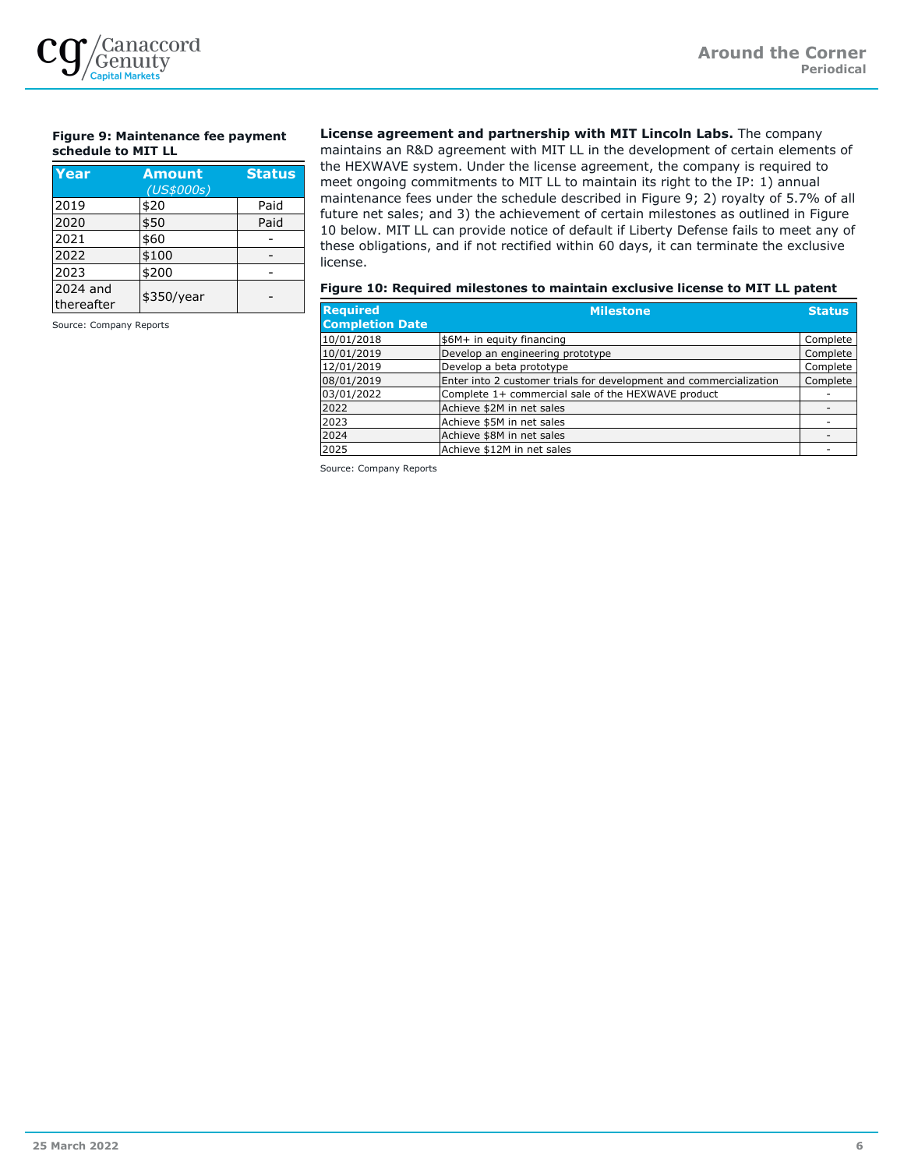

## **Figure 9: Maintenance fee payment schedule to MIT LL**

| Year                   | <b>Amount</b><br>(US\$000s) | <b>Status</b> |
|------------------------|-----------------------------|---------------|
| 2019                   | \$20                        | Paid          |
| 2020                   | \$50                        | Paid          |
| 2021                   | \$60                        |               |
| 2022                   | \$100                       |               |
| 2023                   | \$200                       |               |
| 2024 and<br>thereafter | \$350/year                  |               |

Source: Company Reports

**License agreement and partnership with MIT Lincoln Labs.** The company maintains an R&D agreement with MIT LL in the development of certain elements of the HEXWAVE system. Under the license agreement, the company is required to meet ongoing commitments to MIT LL to maintain its right to the IP: 1) annual maintenance fees under the schedule described in Figure 9; 2) royalty of 5.7% of all future net sales; and 3) the achievement of certain milestones as outlined in Figure 10 below. MIT LL can provide notice of default if Liberty Defense fails to meet any of these obligations, and if not rectified within 60 days, it can terminate the exclusive license.

### **Figure 10: Required milestones to maintain exclusive license to MIT LL patent**

| <b>Required</b><br><b>Completion Date</b> | <b>Milestone</b>                                                   | <b>Status</b> |
|-------------------------------------------|--------------------------------------------------------------------|---------------|
| 10/01/2018                                | \$6M+ in equity financing                                          | Complete      |
| 10/01/2019                                | Develop an engineering prototype                                   | Complete      |
| 12/01/2019                                | Develop a beta prototype                                           | Complete      |
| 08/01/2019                                | Enter into 2 customer trials for development and commercialization | Complete      |
| 03/01/2022                                | Complete 1+ commercial sale of the HEXWAVE product                 |               |
| 2022                                      | Achieve \$2M in net sales                                          |               |
| 2023                                      | Achieve \$5M in net sales                                          |               |
| 2024                                      | Achieve \$8M in net sales                                          |               |
| 2025                                      | Achieve \$12M in net sales                                         |               |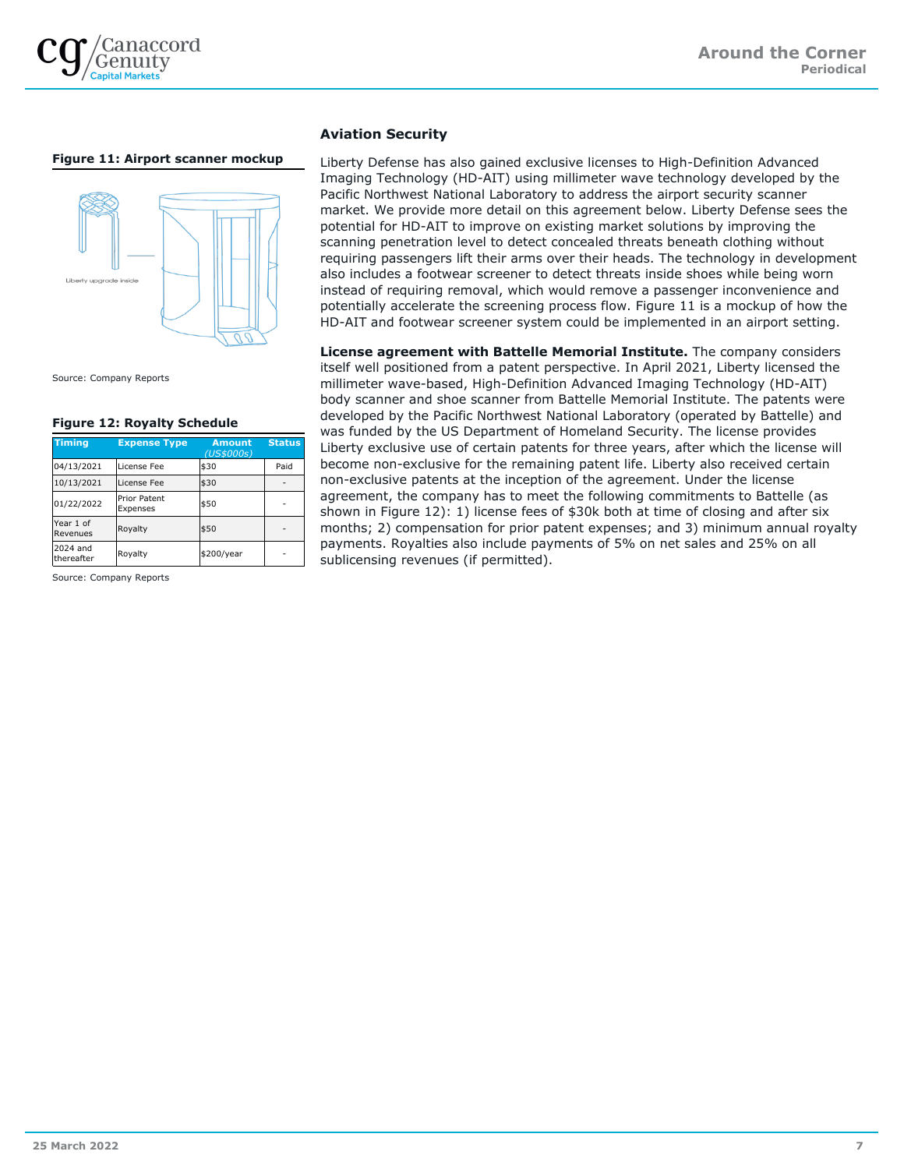

## **Figure 11: Airport scanner mockup**



Source: Company Reports

### **Figure 12: Royalty Schedule**

| <b>Timing</b>          | <b>Expense Type</b>             | <b>Amount</b><br>(US\$000s) | <b>Status</b> |
|------------------------|---------------------------------|-----------------------------|---------------|
| 04/13/2021             | License Fee                     | \$30                        | Paid          |
| 10/13/2021             | License Fee                     | \$30                        |               |
| 01/22/2022             | <b>Prior Patent</b><br>Expenses | \$50                        |               |
| Year 1 of<br>Revenues  | Royalty                         | \$50                        |               |
| 2024 and<br>thereafter | Royalty                         | \$200/year                  |               |

Source: Company Reports

## **Aviation Security**

Liberty Defense has also gained exclusive licenses to High-Definition Advanced Imaging Technology (HD-AIT) using millimeter wave technology developed by the Pacific Northwest National Laboratory to address the airport security scanner market. We provide more detail on this agreement below. Liberty Defense sees the potential for HD-AIT to improve on existing market solutions by improving the scanning penetration level to detect concealed threats beneath clothing without requiring passengers lift their arms over their heads. The technology in development also includes a footwear screener to detect threats inside shoes while being worn instead of requiring removal, which would remove a passenger inconvenience and potentially accelerate the screening process flow. Figure 11 is a mockup of how the HD-AIT and footwear screener system could be implemented in an airport setting.

**License agreement with Battelle Memorial Institute.** The company considers itself well positioned from a patent perspective. In April 2021, Liberty licensed the millimeter wave-based, High-Definition Advanced Imaging Technology (HD-AIT) body scanner and shoe scanner from Battelle Memorial Institute. The patents were developed by the Pacific Northwest National Laboratory (operated by Battelle) and was funded by the US Department of Homeland Security. The license provides Liberty exclusive use of certain patents for three years, after which the license will become non-exclusive for the remaining patent life. Liberty also received certain non-exclusive patents at the inception of the agreement. Under the license agreement, the company has to meet the following commitments to Battelle (as shown in Figure 12): 1) license fees of \$30k both at time of closing and after six months; 2) compensation for prior patent expenses; and 3) minimum annual royalty payments. Royalties also include payments of 5% on net sales and 25% on all sublicensing revenues (if permitted).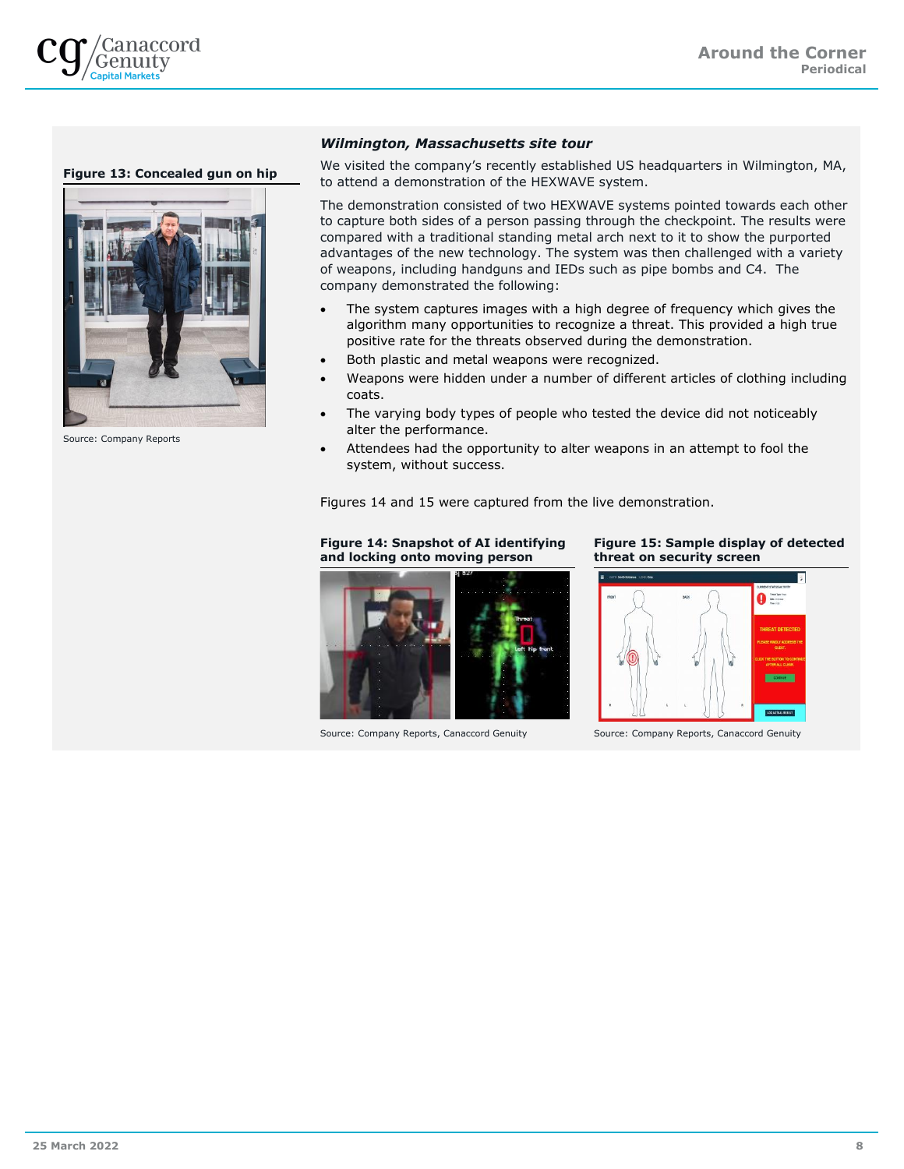

## **Figure 13: Concealed gun on hip**



Source: Company Reports

## *Wilmington, Massachusetts site tour*

We visited the company's recently established US headquarters in Wilmington, MA, to attend a demonstration of the HEXWAVE system.

The demonstration consisted of two HEXWAVE systems pointed towards each other to capture both sides of a person passing through the checkpoint. The results were compared with a traditional standing metal arch next to it to show the purported advantages of the new technology. The system was then challenged with a variety of weapons, including handguns and IEDs such as pipe bombs and C4. The company demonstrated the following:

- The system captures images with a high degree of frequency which gives the algorithm many opportunities to recognize a threat. This provided a high true positive rate for the threats observed during the demonstration.
- Both plastic and metal weapons were recognized.
- Weapons were hidden under a number of different articles of clothing including coats.
- The varying body types of people who tested the device did not noticeably alter the performance.
- Attendees had the opportunity to alter weapons in an attempt to fool the system, without success.

Figures 14 and 15 were captured from the live demonstration.

## **Figure 14: Snapshot of AI identifying and locking onto moving person**



Source: Company Reports, Canaccord Genuity Source: Company Reports, Canaccord Genuity

### **Figure 15: Sample display of detected threat on security screen**

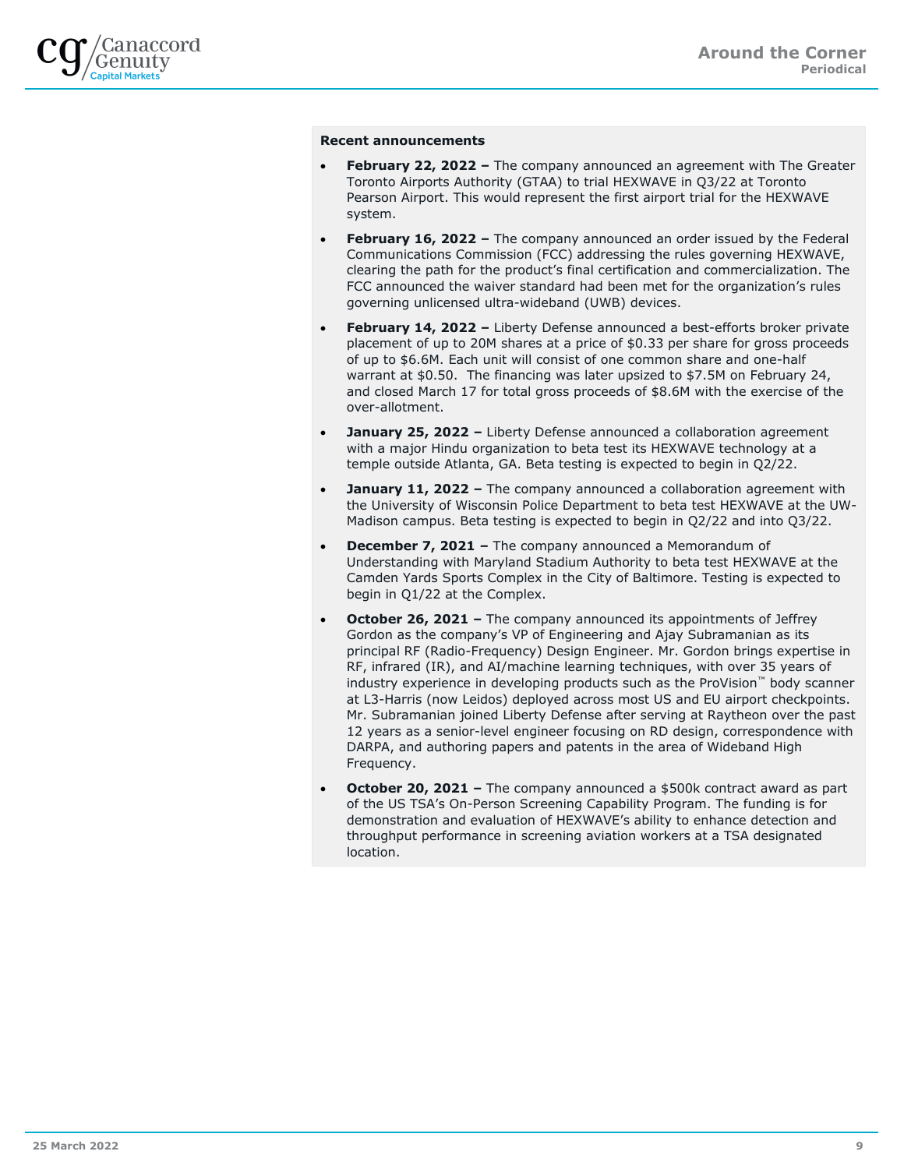

## **Recent announcements**

- **February 22, 2022 –** The company announced an agreement with The Greater Toronto Airports Authority (GTAA) to trial HEXWAVE in Q3/22 at Toronto Pearson Airport. This would represent the first airport trial for the HEXWAVE system.
- **February 16, 2022 –** The company announced an order issued by the Federal Communications Commission (FCC) addressing the rules governing HEXWAVE, clearing the path for the product's final certification and commercialization. The FCC announced the waiver standard had been met for the organization's rules governing unlicensed ultra-wideband (UWB) devices.
- **February 14, 2022 –** Liberty Defense announced a best-efforts broker private placement of up to 20M shares at a price of \$0.33 per share for gross proceeds of up to \$6.6M. Each unit will consist of one common share and one-half warrant at \$0.50. The financing was later upsized to \$7.5M on February 24, and closed March 17 for total gross proceeds of \$8.6M with the exercise of the over-allotment.
- **January 25, 2022 –** Liberty Defense announced a collaboration agreement with a major Hindu organization to beta test its HEXWAVE technology at a temple outside Atlanta, GA. Beta testing is expected to begin in Q2/22.
- **January 11, 2022 –** The company announced a collaboration agreement with the University of Wisconsin Police Department to beta test HEXWAVE at the UW-Madison campus. Beta testing is expected to begin in Q2/22 and into Q3/22.
- **December 7, 2021 –** The company announced a Memorandum of Understanding with Maryland Stadium Authority to beta test HEXWAVE at the Camden Yards Sports Complex in the City of Baltimore. Testing is expected to begin in Q1/22 at the Complex.
- **October 26, 2021 –** The company announced its appointments of Jeffrey Gordon as the company's VP of Engineering and Ajay Subramanian as its principal RF (Radio-Frequency) Design Engineer. Mr. Gordon brings expertise in RF, infrared (IR), and AI/machine learning techniques, with over 35 years of industry experience in developing products such as the ProVision™ body scanner at L3-Harris (now Leidos) deployed across most US and EU airport checkpoints. Mr. Subramanian joined Liberty Defense after serving at Raytheon over the past 12 years as a senior-level engineer focusing on RD design, correspondence with DARPA, and authoring papers and patents in the area of Wideband High Frequency.
- **October 20, 2021 –** The company announced a \$500k contract award as part of the US TSA's On-Person Screening Capability Program. The funding is for demonstration and evaluation of HEXWAVE's ability to enhance detection and throughput performance in screening aviation workers at a TSA designated location.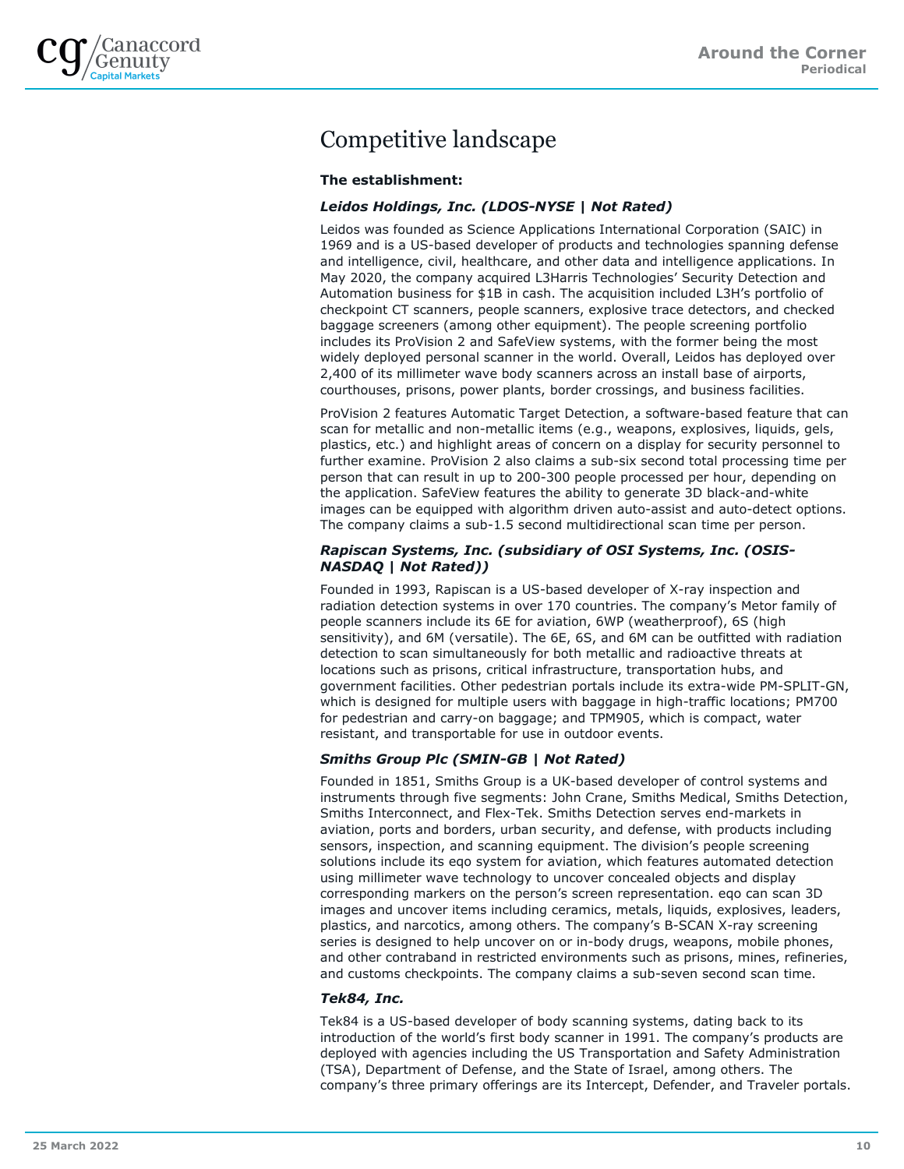

## Competitive landscape

## **The establishment:**

## *Leidos Holdings, Inc. (LDOS-NYSE | Not Rated)*

Leidos was founded as Science Applications International Corporation (SAIC) in 1969 and is a US-based developer of products and technologies spanning defense and intelligence, civil, healthcare, and other data and intelligence applications. In May 2020, the company acquired L3Harris Technologies' Security Detection and Automation business for \$1B in cash. The acquisition included L3H's portfolio of checkpoint CT scanners, people scanners, explosive trace detectors, and checked baggage screeners (among other equipment). The people screening portfolio includes its ProVision 2 and SafeView systems, with the former being the most widely deployed personal scanner in the world. Overall, Leidos has deployed over 2,400 of its millimeter wave body scanners across an install base of airports, courthouses, prisons, power plants, border crossings, and business facilities.

ProVision 2 features Automatic Target Detection, a software-based feature that can scan for metallic and non-metallic items (e.g., weapons, explosives, liquids, gels, plastics, etc.) and highlight areas of concern on a display for security personnel to further examine. ProVision 2 also claims a sub-six second total processing time per person that can result in up to 200-300 people processed per hour, depending on the application. SafeView features the ability to generate 3D black-and-white images can be equipped with algorithm driven auto-assist and auto-detect options. The company claims a sub-1.5 second multidirectional scan time per person.

## *Rapiscan Systems, Inc. (subsidiary of OSI Systems, Inc. (OSIS-NASDAQ | Not Rated))*

Founded in 1993, Rapiscan is a US-based developer of X-ray inspection and radiation detection systems in over 170 countries. The company's Metor family of people scanners include its 6E for aviation, 6WP (weatherproof), 6S (high sensitivity), and 6M (versatile). The 6E, 6S, and 6M can be outfitted with radiation detection to scan simultaneously for both metallic and radioactive threats at locations such as prisons, critical infrastructure, transportation hubs, and government facilities. Other pedestrian portals include its extra-wide PM-SPLIT-GN, which is designed for multiple users with baggage in high-traffic locations; PM700 for pedestrian and carry-on baggage; and TPM905, which is compact, water resistant, and transportable for use in outdoor events.

## *Smiths Group Plc (SMIN-GB | Not Rated)*

Founded in 1851, Smiths Group is a UK-based developer of control systems and instruments through five segments: John Crane, Smiths Medical, Smiths Detection, Smiths Interconnect, and Flex-Tek. Smiths Detection serves end-markets in aviation, ports and borders, urban security, and defense, with products including sensors, inspection, and scanning equipment. The division's people screening solutions include its eqo system for aviation, which features automated detection using millimeter wave technology to uncover concealed objects and display corresponding markers on the person's screen representation. eqo can scan 3D images and uncover items including ceramics, metals, liquids, explosives, leaders, plastics, and narcotics, among others. The company's B-SCAN X-ray screening series is designed to help uncover on or in-body drugs, weapons, mobile phones, and other contraband in restricted environments such as prisons, mines, refineries, and customs checkpoints. The company claims a sub-seven second scan time.

## *Tek84, Inc.*

Tek84 is a US-based developer of body scanning systems, dating back to its introduction of the world's first body scanner in 1991. The company's products are deployed with agencies including the US Transportation and Safety Administration (TSA), Department of Defense, and the State of Israel, among others. The company's three primary offerings are its Intercept, Defender, and Traveler portals.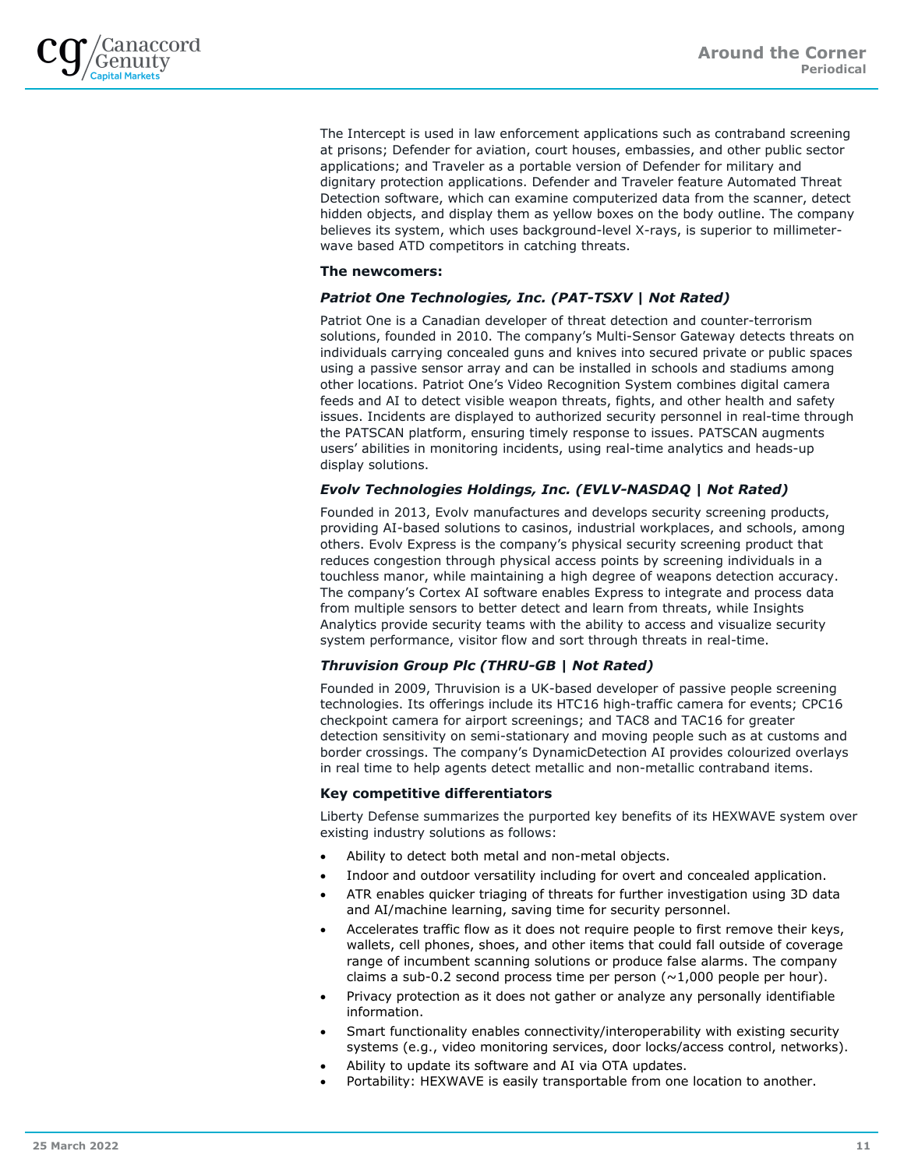The Intercept is used in law enforcement applications such as contraband screening at prisons; Defender for aviation, court houses, embassies, and other public sector applications; and Traveler as a portable version of Defender for military and dignitary protection applications. Defender and Traveler feature Automated Threat Detection software, which can examine computerized data from the scanner, detect hidden objects, and display them as yellow boxes on the body outline. The company believes its system, which uses background-level X-rays, is superior to millimeterwave based ATD competitors in catching threats.

## **The newcomers:**

## *Patriot One Technologies, Inc. (PAT-TSXV | Not Rated)*

Patriot One is a Canadian developer of threat detection and counter-terrorism solutions, founded in 2010. The company's Multi-Sensor Gateway detects threats on individuals carrying concealed guns and knives into secured private or public spaces using a passive sensor array and can be installed in schools and stadiums among other locations. Patriot One's Video Recognition System combines digital camera feeds and AI to detect visible weapon threats, fights, and other health and safety issues. Incidents are displayed to authorized security personnel in real-time through the PATSCAN platform, ensuring timely response to issues. PATSCAN augments users' abilities in monitoring incidents, using real-time analytics and heads-up display solutions.

## *Evolv Technologies Holdings, Inc. (EVLV-NASDAQ | Not Rated)*

Founded in 2013, Evolv manufactures and develops security screening products, providing AI-based solutions to casinos, industrial workplaces, and schools, among others. Evolv Express is the company's physical security screening product that reduces congestion through physical access points by screening individuals in a touchless manor, while maintaining a high degree of weapons detection accuracy. The company's Cortex AI software enables Express to integrate and process data from multiple sensors to better detect and learn from threats, while Insights Analytics provide security teams with the ability to access and visualize security system performance, visitor flow and sort through threats in real-time.

## *Thruvision Group Plc (THRU-GB | Not Rated)*

Founded in 2009, Thruvision is a UK-based developer of passive people screening technologies. Its offerings include its HTC16 high-traffic camera for events; CPC16 checkpoint camera for airport screenings; and TAC8 and TAC16 for greater detection sensitivity on semi-stationary and moving people such as at customs and border crossings. The company's DynamicDetection AI provides colourized overlays in real time to help agents detect metallic and non-metallic contraband items.

## **Key competitive differentiators**

Liberty Defense summarizes the purported key benefits of its HEXWAVE system over existing industry solutions as follows:

- Ability to detect both metal and non-metal objects.
- Indoor and outdoor versatility including for overt and concealed application.
- ATR enables quicker triaging of threats for further investigation using 3D data and AI/machine learning, saving time for security personnel.
- Accelerates traffic flow as it does not require people to first remove their keys, wallets, cell phones, shoes, and other items that could fall outside of coverage range of incumbent scanning solutions or produce false alarms. The company claims a sub-0.2 second process time per person  $(\sim 1,000$  people per hour).
- Privacy protection as it does not gather or analyze any personally identifiable information.
- Smart functionality enables connectivity/interoperability with existing security systems (e.g., video monitoring services, door locks/access control, networks).
- Ability to update its software and AI via OTA updates.
- Portability: HEXWAVE is easily transportable from one location to another.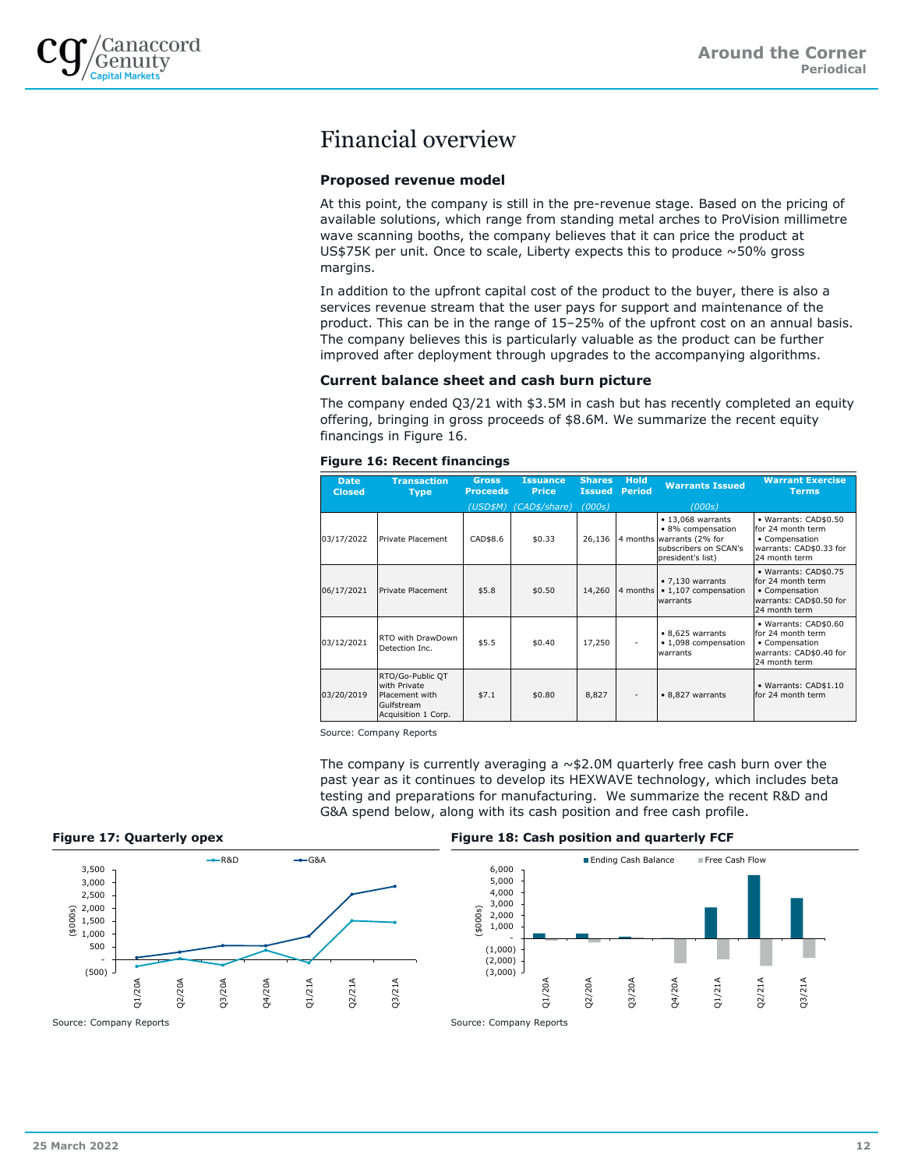

## Financial overview

## **Proposed revenue model**

At this point, the company is still in the pre-revenue stage. Based on the pricing of available solutions, which range from standing metal arches to ProVision millimetre wave scanning booths, the company believes that it can price the product at US\$75K per unit. Once to scale, Liberty expects this to produce ~50% gross margins.

In addition to the upfront capital cost of the product to the buyer, there is also a services revenue stream that the user pays for support and maintenance of the product. This can be in the range of 15–25% of the upfront cost on an annual basis. The company believes this is particularly valuable as the product can be further improved after deployment through upgrades to the accompanying algorithms.

## **Current balance sheet and cash burn picture**

The company ended Q3/21 with \$3.5M in cash but has recently completed an equity offering, bringing in gross proceeds of \$8.6M. We summarize the recent equity financings in Figure 16.

### **Figure 16: Recent financings**

| <b>Date</b><br><b>Closed</b> | <b>Transaction</b><br><b>Type</b>                                                       | <b>Gross</b><br><b>Proceeds</b> | <b>Issuance</b><br><b>Price</b> | <b>Shares</b><br><b>Issued</b> | <b>Hold</b><br><b>Period</b> | <b>Warrants Issued</b>                                                                                                  | <b>Warrant Exercise</b><br><b>Terms</b>                                                                  |
|------------------------------|-----------------------------------------------------------------------------------------|---------------------------------|---------------------------------|--------------------------------|------------------------------|-------------------------------------------------------------------------------------------------------------------------|----------------------------------------------------------------------------------------------------------|
|                              |                                                                                         | (USD\$M)                        | (CAD\$/share)                   | (000s)                         |                              | (000s)                                                                                                                  |                                                                                                          |
| 03/17/2022                   | Private Placement                                                                       | CAD\$8.6                        | \$0.33                          | 26,136                         |                              | $\cdot$ 13,068 warrants<br>· 8% compensation<br>4 months warrants (2% for<br>subscribers on SCAN's<br>president's list) | • Warrants: CAD\$0.50<br>for 24 month term<br>• Compensation<br>warrants: CAD\$0.33 for<br>24 month term |
| 06/17/2021                   | Private Placement                                                                       | \$5.8                           | \$0.50                          | 14,260                         | 4 months                     | • 7,130 warrants<br>• 1,107 compensation<br>warrants                                                                    | · Warrants: CAD\$0.75<br>for 24 month term<br>• Compensation<br>warrants: CAD\$0.50 for<br>24 month term |
| 03/12/2021                   | RTO with DrawDown<br>Detection Inc.                                                     | \$5.5                           | \$0.40                          | 17,250                         |                              | • 8,625 warrants<br>• 1,098 compensation<br>warrants                                                                    | · Warrants: CAD\$0.60<br>for 24 month term<br>• Compensation<br>warrants: CAD\$0.40 for<br>24 month term |
| 03/20/2019                   | RTO/Go-Public QT<br>with Private<br>Placement with<br>Gulfstream<br>Acquisition 1 Corp. | \$7.1                           | \$0.80                          | 8,827                          |                              | • 8,827 warrants                                                                                                        | · Warrants: CAD\$1.10<br>for 24 month term                                                               |

Source: Company Reports

The company is currently averaging a  $\sim$ \$2.0M quarterly free cash burn over the past year as it continues to develop its HEXWAVE technology, which includes beta testing and preparations for manufacturing. We summarize the recent R&D and G&A spend below, along with its cash position and free cash profile.





### **Figure 17: Quarterly opex Figure 18: Cash position and quarterly FCF**

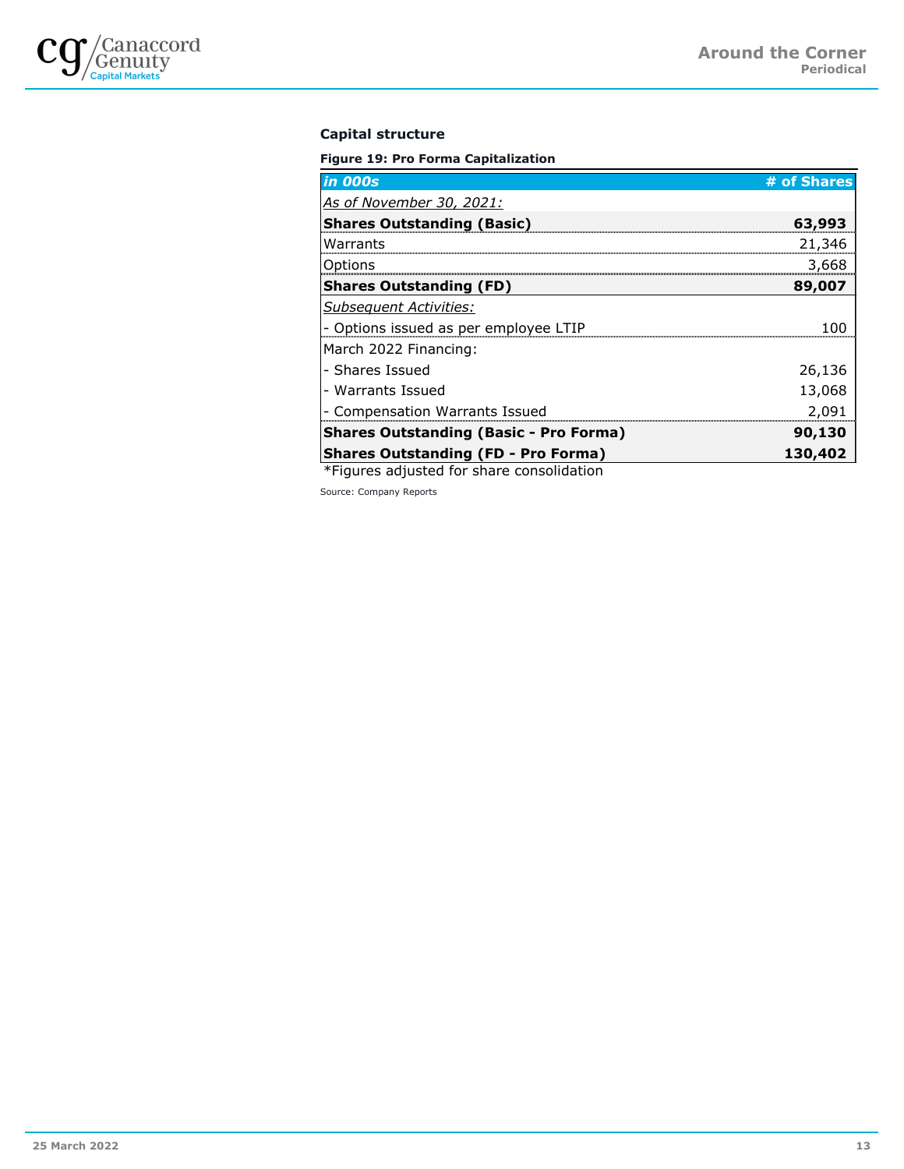

## **Capital structure**

**Figure 19: Pro Forma Capitalization**

| <b>in 000s</b>                                | # of Shares |
|-----------------------------------------------|-------------|
| As of November 30, 2021:                      |             |
| <b>Shares Outstanding (Basic)</b>             | 63,993      |
| Warrants                                      | 21,346      |
| Options                                       | 3,668       |
| <b>Shares Outstanding (FD)</b>                | 89,007      |
| <b>Subsequent Activities:</b>                 |             |
| - Options issued as per employee LTIP         |             |
| March 2022 Financing:                         |             |
| - Shares Issued                               | 26,136      |
| - Warrants Issued                             | 13,068      |
| - Compensation Warrants Issued                | 2,091       |
| <b>Shares Outstanding (Basic - Pro Forma)</b> | 90,130      |
| <b>Shares Outstanding (FD - Pro Forma)</b>    | 130,402     |

\*Figures adjusted for share consolidation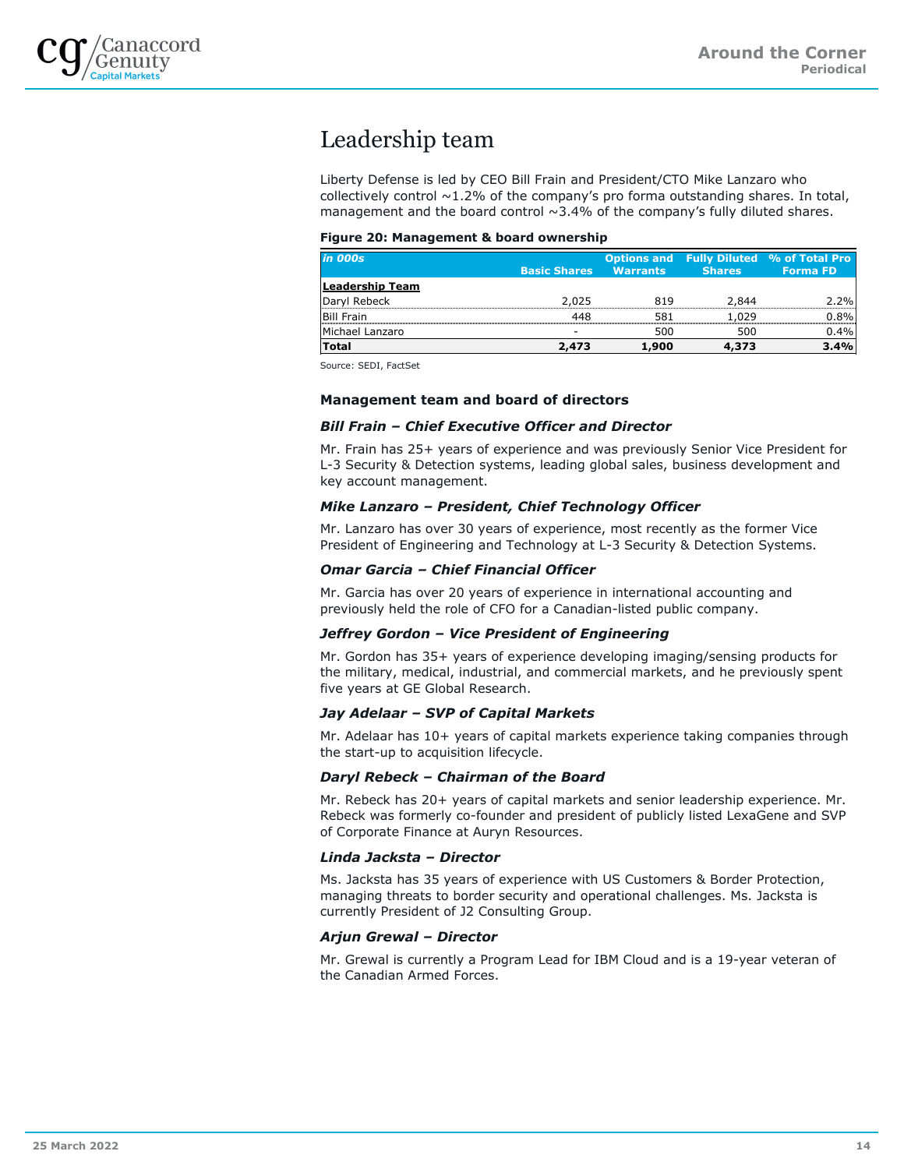

## Leadership team

Liberty Defense is led by CEO Bill Frain and President/CTO Mike Lanzaro who collectively control  $\sim$ 1.2% of the company's pro forma outstanding shares. In total, management and the board control  $\sim$ 3.4% of the company's fully diluted shares.

## **Figure 20: Management & board ownership**

| <i>in 000s</i>    |                     |                 |               | <b>Options and Fully Diluted % of Total Pro</b> |
|-------------------|---------------------|-----------------|---------------|-------------------------------------------------|
|                   | <b>Basic Shares</b> | <b>Warrants</b> | <b>Shares</b> | <b>Forma FD</b>                                 |
| Leadership Team   |                     |                 |               |                                                 |
| Daryl Rebeck      | 2,025               | 819             | 2,844         | 2.2%                                            |
| <b>Bill Frain</b> | 448                 | 581             | 1,029         | 0.8%                                            |
| Michael Lanzaro   | -                   | 500             | 500           | 0.4%                                            |
| <b>Total</b>      | 2,473               | 1,900           | 4,373         | 3.4%                                            |

Source: SEDI, FactSet

## **Management team and board of directors**

## *Bill Frain – Chief Executive Officer and Director*

Mr. Frain has 25+ years of experience and was previously Senior Vice President for L-3 Security & Detection systems, leading global sales, business development and key account management.

## *Mike Lanzaro – President, Chief Technology Officer*

Mr. Lanzaro has over 30 years of experience, most recently as the former Vice President of Engineering and Technology at L-3 Security & Detection Systems.

## *Omar Garcia – Chief Financial Officer*

Mr. Garcia has over 20 years of experience in international accounting and previously held the role of CFO for a Canadian-listed public company.

## *Jeffrey Gordon – Vice President of Engineering*

Mr. Gordon has 35+ years of experience developing imaging/sensing products for the military, medical, industrial, and commercial markets, and he previously spent five years at GE Global Research.

## *Jay Adelaar – SVP of Capital Markets*

Mr. Adelaar has 10+ years of capital markets experience taking companies through the start-up to acquisition lifecycle.

## *Daryl Rebeck – Chairman of the Board*

Mr. Rebeck has 20+ years of capital markets and senior leadership experience. Mr. Rebeck was formerly co-founder and president of publicly listed LexaGene and SVP of Corporate Finance at Auryn Resources.

## *Linda Jacksta – Director*

Ms. Jacksta has 35 years of experience with US Customers & Border Protection, managing threats to border security and operational challenges. Ms. Jacksta is currently President of J2 Consulting Group.

## *Arjun Grewal – Director*

Mr. Grewal is currently a Program Lead for IBM Cloud and is a 19-year veteran of the Canadian Armed Forces.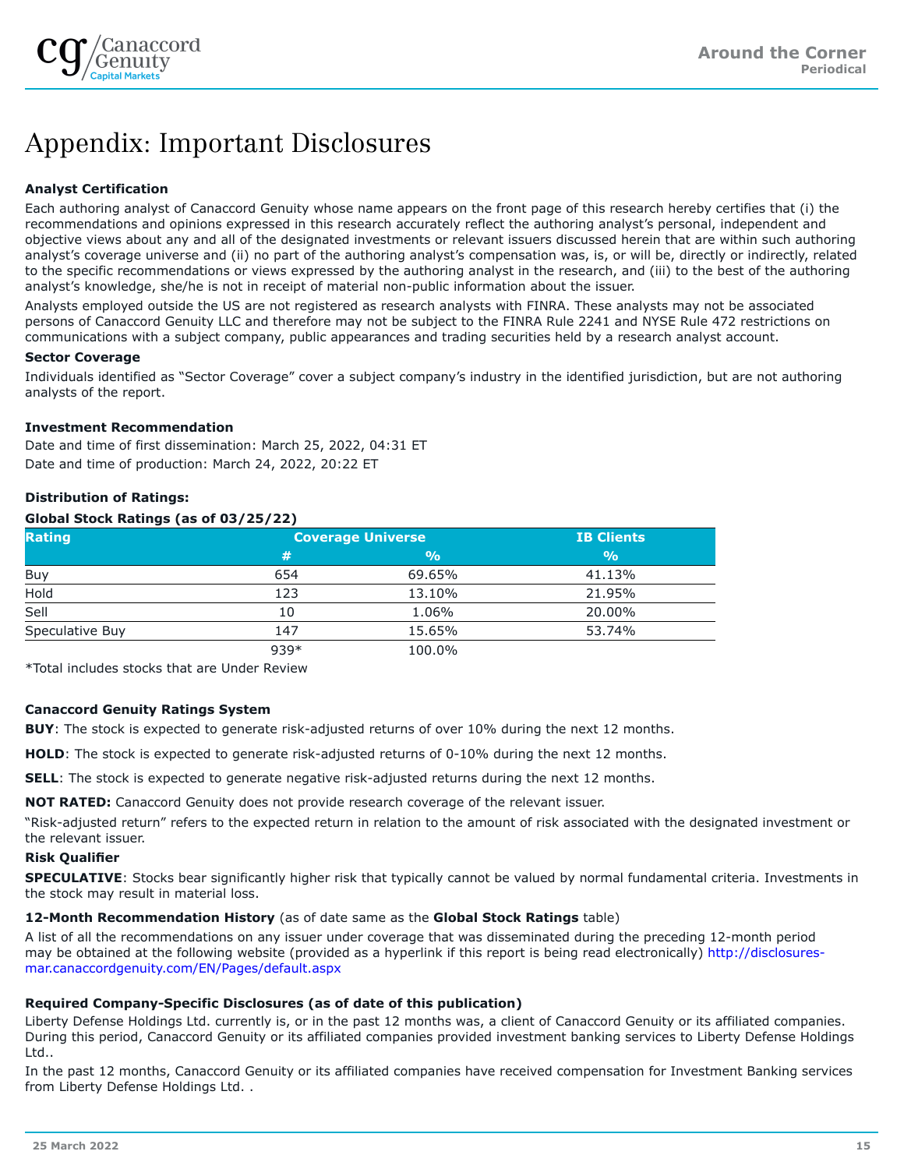

## Appendix: Important Disclosures

## **Analyst Certification**

Each authoring analyst of Canaccord Genuity whose name appears on the front page of this research hereby certifies that (i) the recommendations and opinions expressed in this research accurately reflect the authoring analyst's personal, independent and objective views about any and all of the designated investments or relevant issuers discussed herein that are within such authoring analyst's coverage universe and (ii) no part of the authoring analyst's compensation was, is, or will be, directly or indirectly, related to the specific recommendations or views expressed by the authoring analyst in the research, and (iii) to the best of the authoring analyst's knowledge, she/he is not in receipt of material non-public information about the issuer.

Analysts employed outside the US are not registered as research analysts with FINRA. These analysts may not be associated persons of Canaccord Genuity LLC and therefore may not be subject to the FINRA Rule 2241 and NYSE Rule 472 restrictions on communications with a subject company, public appearances and trading securities held by a research analyst account.

## **Sector Coverage**

Individuals identified as "Sector Coverage" cover a subject company's industry in the identified jurisdiction, but are not authoring analysts of the report.

## **Investment Recommendation**

Date and time of first dissemination: March 25, 2022, 04:31 ET Date and time of production: March 24, 2022, 20:22 ET

## **Distribution of Ratings:**

## **Global Stock Ratings (as of 03/25/22)**

| <b>Rating</b>   | <b>Coverage Universe</b> | <b>IB Clients</b> |               |
|-----------------|--------------------------|-------------------|---------------|
|                 | #                        | $\frac{9}{0}$     | $\frac{9}{0}$ |
| Buy             | 654                      | 69.65%            | 41.13%        |
| Hold            | 123                      | 13.10%            | 21.95%        |
| Sell            | 10                       | 1.06%             | 20.00%        |
| Speculative Buy | 147                      | 15.65%            | 53.74%        |
|                 | 939*                     | 100.0%            |               |

\*Total includes stocks that are Under Review

## **Canaccord Genuity Ratings System**

**BUY**: The stock is expected to generate risk-adjusted returns of over 10% during the next 12 months.

**HOLD**: The stock is expected to generate risk-adjusted returns of 0-10% during the next 12 months.

**SELL**: The stock is expected to generate negative risk-adjusted returns during the next 12 months.

**NOT RATED:** Canaccord Genuity does not provide research coverage of the relevant issuer.

"Risk-adjusted return" refers to the expected return in relation to the amount of risk associated with the designated investment or the relevant issuer.

## **Risk Qualifier**

**SPECULATIVE**: Stocks bear significantly higher risk that typically cannot be valued by normal fundamental criteria. Investments in the stock may result in material loss.

## **12-Month Recommendation History** (as of date same as the **Global Stock Ratings** table)

A list of all the recommendations on any issuer under coverage that was disseminated during the preceding 12-month period may be obtained at the following website (provided as a hyperlink if this report is being read electronically) [http://disclosures](http://disclosures-mar.canaccordgenuity.com/EN/Pages/default.aspx)[mar.canaccordgenuity.com/EN/Pages/default.aspx](http://disclosures-mar.canaccordgenuity.com/EN/Pages/default.aspx)

## **Required Company-Specific Disclosures (as of date of this publication)**

Liberty Defense Holdings Ltd. currently is, or in the past 12 months was, a client of Canaccord Genuity or its affiliated companies. During this period, Canaccord Genuity or its affiliated companies provided investment banking services to Liberty Defense Holdings Ltd..

In the past 12 months, Canaccord Genuity or its affiliated companies have received compensation for Investment Banking services from Liberty Defense Holdings Ltd. .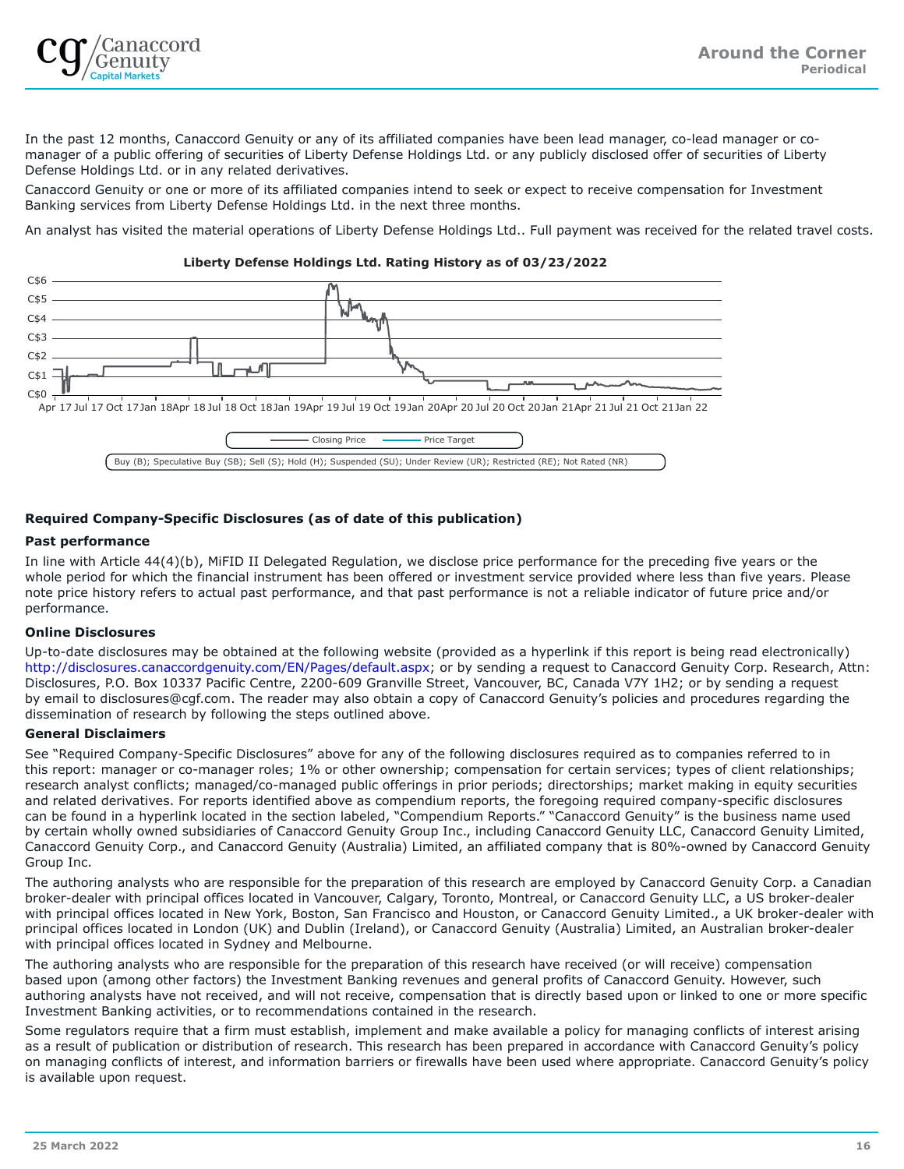

In the past 12 months, Canaccord Genuity or any of its affiliated companies have been lead manager, co-lead manager or comanager of a public offering of securities of Liberty Defense Holdings Ltd. or any publicly disclosed offer of securities of Liberty Defense Holdings Ltd. or in any related derivatives.

Canaccord Genuity or one or more of its affiliated companies intend to seek or expect to receive compensation for Investment Banking services from Liberty Defense Holdings Ltd. in the next three months.

An analyst has visited the material operations of Liberty Defense Holdings Ltd.. Full payment was received for the related travel costs.

## $C$6$  - $C$5 C$4 C$3 C$2$ ┍┷┯┷  $\mathsf{n}$  $C$ \$1 C\$0 Apr 17 Jul 17 Oct 17Jan 18Apr 18 Jul 18 Oct 18Jan 19Apr 19 Jul 19 Oct 19Jan 20Apr 20 Jul 20 Oct 20Jan 21Apr 21 Jul 21 Oct 21Jan 22 Closing Price –––––––– Price Target Buy (B); Speculative Buy (SB); Sell (S); Hold (H); Suspended (SU); Under Review (UR); Restricted (RE); Not Rated (NR)

## **Liberty Defense Holdings Ltd. Rating History as of 03/23/2022**

## **Required Company-Specific Disclosures (as of date of this publication)**

## **Past performance**

In line with Article 44(4)(b), MiFID II Delegated Regulation, we disclose price performance for the preceding five years or the whole period for which the financial instrument has been offered or investment service provided where less than five years. Please note price history refers to actual past performance, and that past performance is not a reliable indicator of future price and/or performance.

## **Online Disclosures**

Up-to-date disclosures may be obtained at the following website (provided as a hyperlink if this report is being read electronically) <http://disclosures.canaccordgenuity.com/EN/Pages/default.aspx>; or by sending a request to Canaccord Genuity Corp. Research, Attn: Disclosures, P.O. Box 10337 Pacific Centre, 2200-609 Granville Street, Vancouver, BC, Canada V7Y 1H2; or by sending a request by email to disclosures@cgf.com. The reader may also obtain a copy of Canaccord Genuity's policies and procedures regarding the dissemination of research by following the steps outlined above.

## **General Disclaimers**

See "Required Company-Specific Disclosures" above for any of the following disclosures required as to companies referred to in this report: manager or co-manager roles; 1% or other ownership; compensation for certain services; types of client relationships; research analyst conflicts; managed/co-managed public offerings in prior periods; directorships; market making in equity securities and related derivatives. For reports identified above as compendium reports, the foregoing required company-specific disclosures can be found in a hyperlink located in the section labeled, "Compendium Reports." "Canaccord Genuity" is the business name used by certain wholly owned subsidiaries of Canaccord Genuity Group Inc., including Canaccord Genuity LLC, Canaccord Genuity Limited, Canaccord Genuity Corp., and Canaccord Genuity (Australia) Limited, an affiliated company that is 80%-owned by Canaccord Genuity Group Inc.

The authoring analysts who are responsible for the preparation of this research are employed by Canaccord Genuity Corp. a Canadian broker-dealer with principal offices located in Vancouver, Calgary, Toronto, Montreal, or Canaccord Genuity LLC, a US broker-dealer with principal offices located in New York, Boston, San Francisco and Houston, or Canaccord Genuity Limited., a UK broker-dealer with principal offices located in London (UK) and Dublin (Ireland), or Canaccord Genuity (Australia) Limited, an Australian broker-dealer with principal offices located in Sydney and Melbourne.

The authoring analysts who are responsible for the preparation of this research have received (or will receive) compensation based upon (among other factors) the Investment Banking revenues and general profits of Canaccord Genuity. However, such authoring analysts have not received, and will not receive, compensation that is directly based upon or linked to one or more specific Investment Banking activities, or to recommendations contained in the research.

Some regulators require that a firm must establish, implement and make available a policy for managing conflicts of interest arising as a result of publication or distribution of research. This research has been prepared in accordance with Canaccord Genuity's policy on managing conflicts of interest, and information barriers or firewalls have been used where appropriate. Canaccord Genuity's policy is available upon request.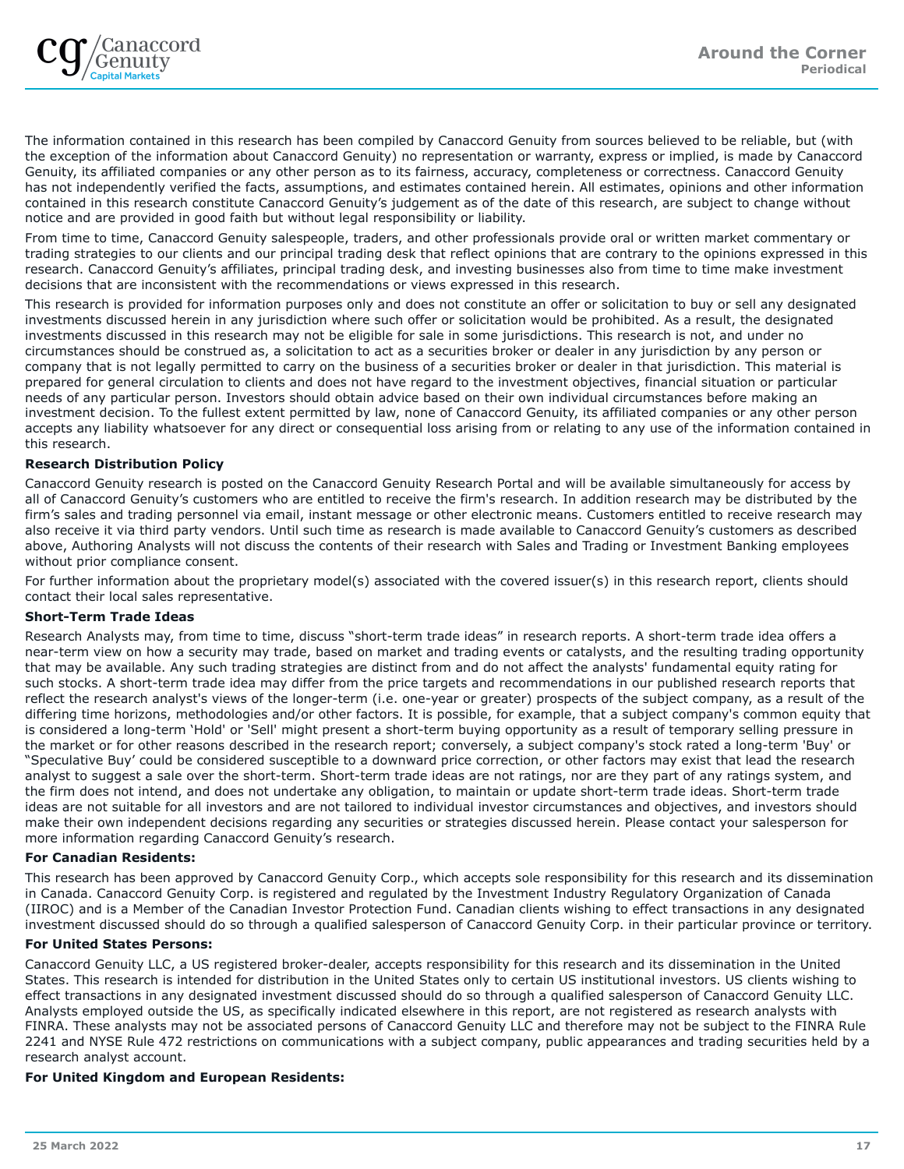The information contained in this research has been compiled by Canaccord Genuity from sources believed to be reliable, but (with the exception of the information about Canaccord Genuity) no representation or warranty, express or implied, is made by Canaccord Genuity, its affiliated companies or any other person as to its fairness, accuracy, completeness or correctness. Canaccord Genuity has not independently verified the facts, assumptions, and estimates contained herein. All estimates, opinions and other information contained in this research constitute Canaccord Genuity's judgement as of the date of this research, are subject to change without notice and are provided in good faith but without legal responsibility or liability.

From time to time, Canaccord Genuity salespeople, traders, and other professionals provide oral or written market commentary or trading strategies to our clients and our principal trading desk that reflect opinions that are contrary to the opinions expressed in this research. Canaccord Genuity's affiliates, principal trading desk, and investing businesses also from time to time make investment decisions that are inconsistent with the recommendations or views expressed in this research.

This research is provided for information purposes only and does not constitute an offer or solicitation to buy or sell any designated investments discussed herein in any jurisdiction where such offer or solicitation would be prohibited. As a result, the designated investments discussed in this research may not be eligible for sale in some jurisdictions. This research is not, and under no circumstances should be construed as, a solicitation to act as a securities broker or dealer in any jurisdiction by any person or company that is not legally permitted to carry on the business of a securities broker or dealer in that jurisdiction. This material is prepared for general circulation to clients and does not have regard to the investment objectives, financial situation or particular needs of any particular person. Investors should obtain advice based on their own individual circumstances before making an investment decision. To the fullest extent permitted by law, none of Canaccord Genuity, its affiliated companies or any other person accepts any liability whatsoever for any direct or consequential loss arising from or relating to any use of the information contained in this research.

## **Research Distribution Policy**

Canaccord Genuity research is posted on the Canaccord Genuity Research Portal and will be available simultaneously for access by all of Canaccord Genuity's customers who are entitled to receive the firm's research. In addition research may be distributed by the firm's sales and trading personnel via email, instant message or other electronic means. Customers entitled to receive research may also receive it via third party vendors. Until such time as research is made available to Canaccord Genuity's customers as described above, Authoring Analysts will not discuss the contents of their research with Sales and Trading or Investment Banking employees without prior compliance consent.

For further information about the proprietary model(s) associated with the covered issuer(s) in this research report, clients should contact their local sales representative.

## **Short-Term Trade Ideas**

Research Analysts may, from time to time, discuss "short-term trade ideas" in research reports. A short-term trade idea offers a near-term view on how a security may trade, based on market and trading events or catalysts, and the resulting trading opportunity that may be available. Any such trading strategies are distinct from and do not affect the analysts' fundamental equity rating for such stocks. A short-term trade idea may differ from the price targets and recommendations in our published research reports that reflect the research analyst's views of the longer-term (i.e. one-year or greater) prospects of the subject company, as a result of the differing time horizons, methodologies and/or other factors. It is possible, for example, that a subject company's common equity that is considered a long-term 'Hold' or 'Sell' might present a short-term buying opportunity as a result of temporary selling pressure in the market or for other reasons described in the research report; conversely, a subject company's stock rated a long-term 'Buy' or "Speculative Buy' could be considered susceptible to a downward price correction, or other factors may exist that lead the research analyst to suggest a sale over the short-term. Short-term trade ideas are not ratings, nor are they part of any ratings system, and the firm does not intend, and does not undertake any obligation, to maintain or update short-term trade ideas. Short-term trade ideas are not suitable for all investors and are not tailored to individual investor circumstances and objectives, and investors should make their own independent decisions regarding any securities or strategies discussed herein. Please contact your salesperson for more information regarding Canaccord Genuity's research.

## **For Canadian Residents:**

This research has been approved by Canaccord Genuity Corp., which accepts sole responsibility for this research and its dissemination in Canada. Canaccord Genuity Corp. is registered and regulated by the Investment Industry Regulatory Organization of Canada (IIROC) and is a Member of the Canadian Investor Protection Fund. Canadian clients wishing to effect transactions in any designated investment discussed should do so through a qualified salesperson of Canaccord Genuity Corp. in their particular province or territory.

## **For United States Persons:**

Canaccord Genuity LLC, a US registered broker-dealer, accepts responsibility for this research and its dissemination in the United States. This research is intended for distribution in the United States only to certain US institutional investors. US clients wishing to effect transactions in any designated investment discussed should do so through a qualified salesperson of Canaccord Genuity LLC. Analysts employed outside the US, as specifically indicated elsewhere in this report, are not registered as research analysts with FINRA. These analysts may not be associated persons of Canaccord Genuity LLC and therefore may not be subject to the FINRA Rule 2241 and NYSE Rule 472 restrictions on communications with a subject company, public appearances and trading securities held by a research analyst account.

## **For United Kingdom and European Residents:**